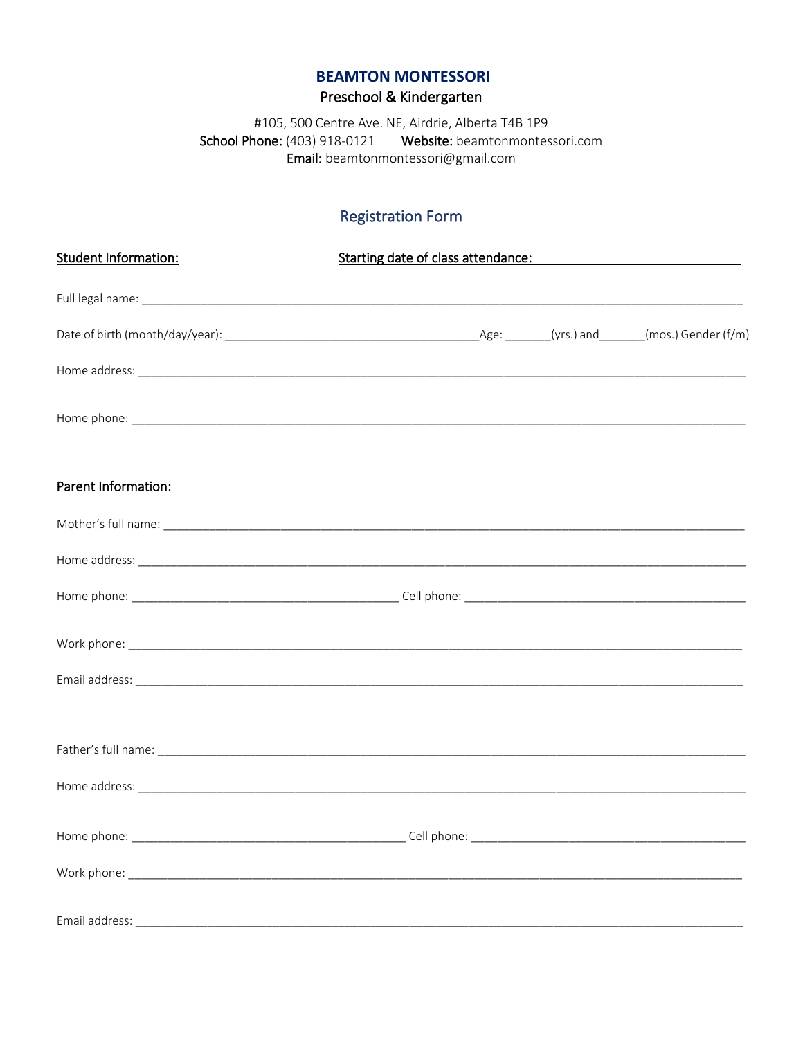### **BEAMTON MONTESSORI**

# Preschool & Kindergarten

#105, 500 Centre Ave. NE, Airdrie, Alberta T4B 1P9 School Phone: (403) 918-0121 Website: beamtonmontessori.com Email: beamtonmontessori@gmail.com

## **Registration Form**

| <b>Student Information:</b> | Starting date of class attendance: Management of the starting date of class attendance: |  |
|-----------------------------|-----------------------------------------------------------------------------------------|--|
|                             |                                                                                         |  |
|                             |                                                                                         |  |
|                             |                                                                                         |  |
|                             |                                                                                         |  |
|                             |                                                                                         |  |
| Parent Information:         |                                                                                         |  |
|                             |                                                                                         |  |
|                             |                                                                                         |  |
|                             |                                                                                         |  |
|                             |                                                                                         |  |
|                             |                                                                                         |  |
|                             |                                                                                         |  |
|                             |                                                                                         |  |
|                             |                                                                                         |  |
|                             |                                                                                         |  |
|                             |                                                                                         |  |
|                             |                                                                                         |  |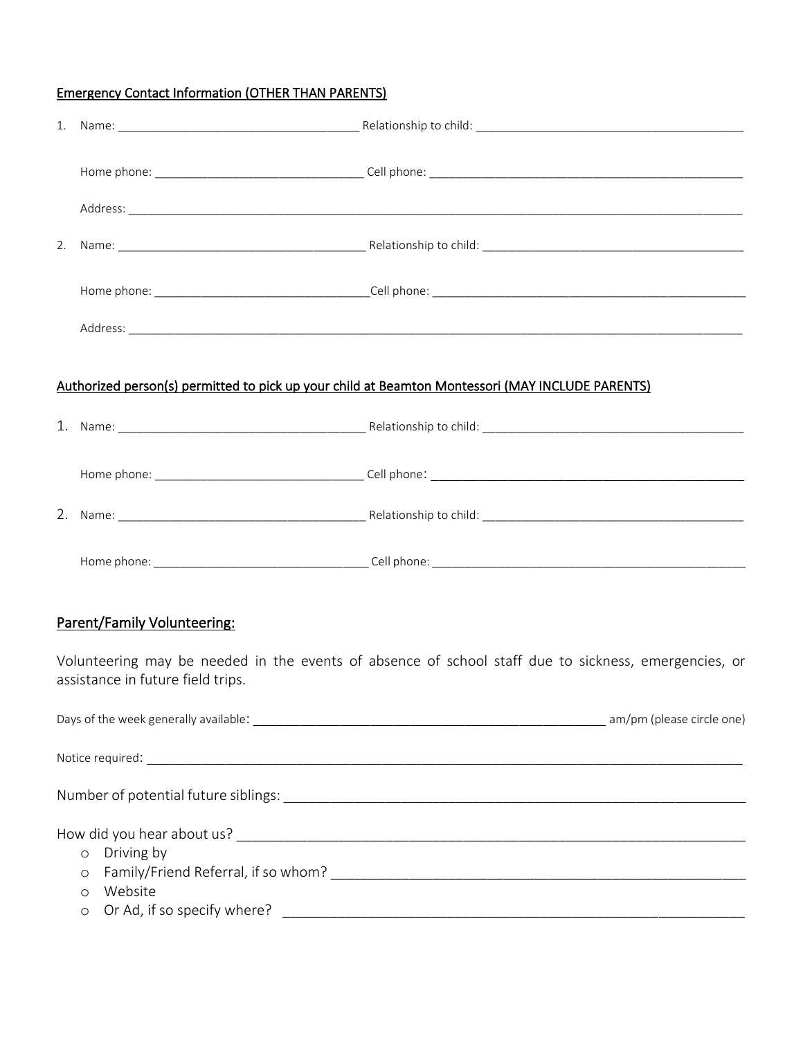### Emergency Contact Information (OTHER THAN PARENTS)

| 2. |                                                             |                                                                                                      |
|----|-------------------------------------------------------------|------------------------------------------------------------------------------------------------------|
|    |                                                             |                                                                                                      |
|    |                                                             |                                                                                                      |
|    |                                                             | Authorized person(s) permitted to pick up your child at Beamton Montessori (MAY INCLUDE PARENTS)     |
|    |                                                             |                                                                                                      |
|    |                                                             |                                                                                                      |
|    |                                                             |                                                                                                      |
|    |                                                             |                                                                                                      |
|    | <b>Parent/Family Volunteering:</b>                          |                                                                                                      |
|    | assistance in future field trips.                           | Volunteering may be needed in the events of absence of school staff due to sickness, emergencies, or |
|    |                                                             |                                                                                                      |
|    |                                                             |                                                                                                      |
|    |                                                             |                                                                                                      |
|    | Driving by<br>$\circ$<br>O<br>Website<br>$\circ$<br>$\circ$ |                                                                                                      |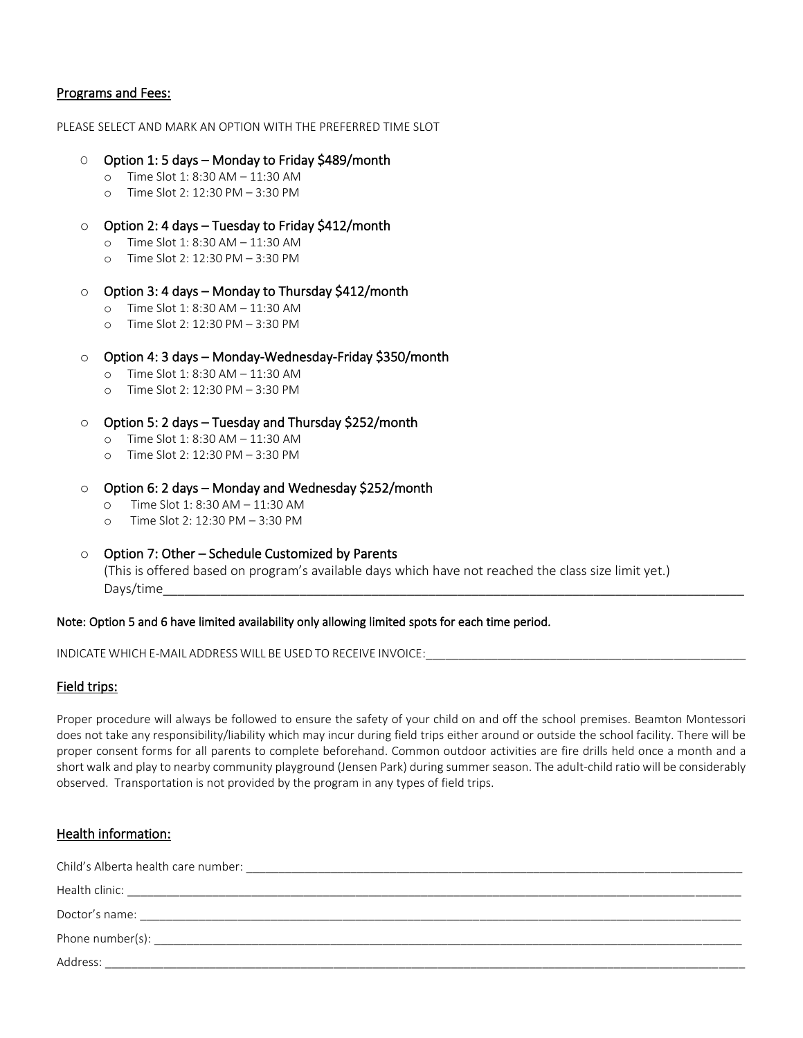#### Programs and Fees:

PLEASE SELECT AND MARK AN OPTION WITH THE PREFERRED TIME SLOT

#### O Option 1: 5 days – Monday to Friday \$489/month

- o Time Slot 1: 8:30 AM 11:30 AM
- o Time Slot 2: 12:30 PM 3:30 PM

#### $\circ$  Option 2: 4 days – Tuesday to Friday \$412/month

- o Time Slot 1: 8:30 AM 11:30 AM
- o Time Slot 2: 12:30 PM 3:30 PM

### o Option 3: 4 days – Monday to Thursday \$412/month

- o Time Slot 1: 8:30 AM 11:30 AM
- o Time Slot 2: 12:30 PM 3:30 PM

#### o Option 4: 3 days – Monday-Wednesday-Friday \$350/month

- o Time Slot 1: 8:30 AM 11:30 AM
- o Time Slot 2: 12:30 PM 3:30 PM
- o Option 5: 2 days Tuesday and Thursday \$252/month
	- o Time Slot 1: 8:30 AM 11:30 AM
	- o Time Slot 2: 12:30 PM 3:30 PM

#### $\circ$  Option 6: 2 days – Monday and Wednesday \$252/month

- o Time Slot 1: 8:30 AM 11:30 AM
- o Time Slot 2: 12:30 PM 3:30 PM
- o Option 7: Other Schedule Customized by Parents

(This is offered based on program's available days which have not reached the class size limit yet.) Days/time\_\_\_\_\_\_\_\_\_\_\_\_\_\_\_\_\_\_\_\_\_\_\_\_\_\_\_\_\_\_\_\_\_\_\_\_\_\_\_\_\_\_\_\_\_\_\_\_\_\_\_\_\_\_\_\_\_\_\_\_\_\_\_\_\_\_\_\_\_\_\_\_\_\_\_\_\_\_\_\_\_

#### Note: Option 5 and 6 have limited availability only allowing limited spots for each time period.

INDICATE WHICH E-MAIL ADDRESS WILL BE USED TO RECEIVE INVOICE:

#### Field trips:

Proper procedure will always be followed to ensure the safety of your child on and off the school premises. Beamton Montessori does not take any responsibility/liability which may incur during field trips either around or outside the school facility. There will be proper consent forms for all parents to complete beforehand. Common outdoor activities are fire drills held once a month and a short walk and play to nearby community playground (Jensen Park) during summer season. The adult-child ratio will be considerably observed. Transportation is not provided by the program in any types of field trips.

| Health information: |  |
|---------------------|--|
|                     |  |
|                     |  |
|                     |  |
|                     |  |
| Address:            |  |